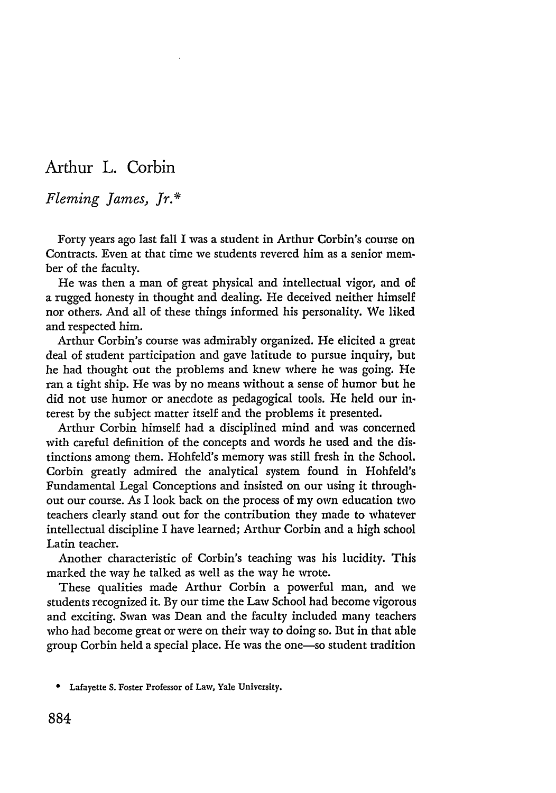## Arthur L. Corbin

## *Fleming James, Jr.\**

Forty years ago last fall I was a student in Arthur Corbin's course on Contracts. Even at that time we students revered him as a senior member of the faculty.

He was then a man of great physical and intellectual vigor, and of a rugged honesty in thought and dealing. He deceived neither himself nor others. And all of these things informed his personality. We liked and respected him.

Arthur Corbin's course was admirably organized. He elicited a great deal of student participation and gave latitude to pursue inquiry, but he had thought out the problems and knew where he was going. He ran a tight ship. He was by no means without a sense of humor but he did not use humor or anecdote as pedagogical tools. He held our interest by the subject matter itself and the problems it presented.

Arthur Corbin himself had a disciplined mind and was concerned with careful definition of the concepts and words he used and the distinctions among them. Hohfeld's memory was still fresh in the School. Corbin greatly admired the analytical system found in Hohfeld's Fundamental Legal Conceptions and insisted on our using it throughout our course. As I look back on the process of my own education two teachers clearly stand out for the contribution they made to whatever intellectual discipline I have learned; Arthur Corbin and a high school Latin teacher.

Another characteristic of Corbin's teaching was his lucidity. This marked the way he talked as well as the way he wrote.

These qualities made Arthur Corbin a powerful man, and we students recognized it. By our time the Law School had become vigorous and exciting. Swan was Dean and the faculty included many teachers who had become great or were on their way to doing so. But in that able group Corbin held a special place. He was the one-so student tradition

<sup>\*</sup> Lafayette **S.** Foster Professor of Law, Yale University.